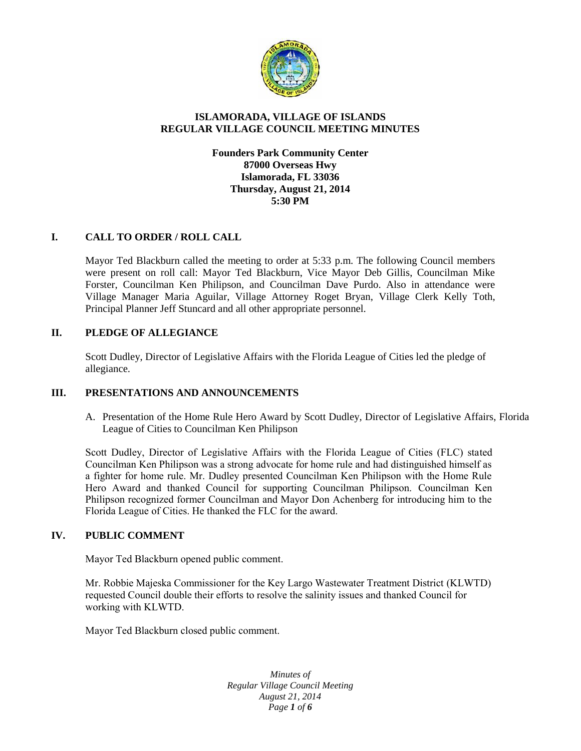

# **ISLAMORADA, VILLAGE OF ISLANDS REGULAR VILLAGE COUNCIL MEETING MINUTES**

# **Founders Park Community Center 87000 Overseas Hwy Islamorada, FL 33036 Thursday, August 21, 2014 5:30 PM**

# **I. CALL TO ORDER / ROLL CALL**

Mayor Ted Blackburn called the meeting to order at 5:33 p.m. The following Council members were present on roll call: Mayor Ted Blackburn, Vice Mayor Deb Gillis, Councilman Mike Forster, Councilman Ken Philipson, and Councilman Dave Purdo. Also in attendance were Village Manager Maria Aguilar, Village Attorney Roget Bryan, Village Clerk Kelly Toth, Principal Planner Jeff Stuncard and all other appropriate personnel.

# **II. PLEDGE OF ALLEGIANCE**

Scott Dudley, Director of Legislative Affairs with the Florida League of Cities led the pledge of allegiance.

# **III. PRESENTATIONS AND ANNOUNCEMENTS**

A. Presentation of the Home Rule Hero Award by Scott Dudley, Director of Legislative Affairs, Florida League of Cities to Councilman Ken Philipson

Scott Dudley, Director of Legislative Affairs with the Florida League of Cities (FLC) stated Councilman Ken Philipson was a strong advocate for home rule and had distinguished himself as a fighter for home rule. Mr. Dudley presented Councilman Ken Philipson with the Home Rule Hero Award and thanked Council for supporting Councilman Philipson. Councilman Ken Philipson recognized former Councilman and Mayor Don Achenberg for introducing him to the Florida League of Cities. He thanked the FLC for the award.

# **IV. PUBLIC COMMENT**

Mayor Ted Blackburn opened public comment.

Mr. Robbie Majeska Commissioner for the Key Largo Wastewater Treatment District (KLWTD) requested Council double their efforts to resolve the salinity issues and thanked Council for working with KLWTD.

Mayor Ted Blackburn closed public comment.

*Minutes of Regular Village Council Meeting August 21, 2014 Page 1 of 6*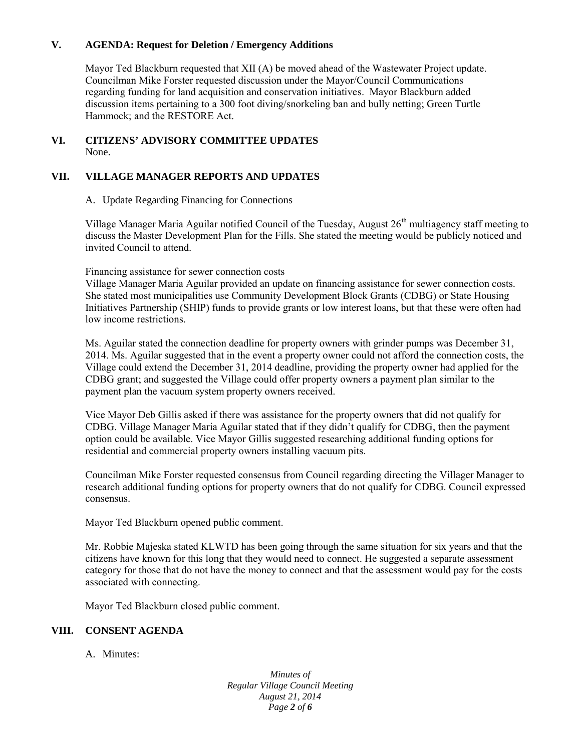# **V. AGENDA: Request for Deletion / Emergency Additions**

Mayor Ted Blackburn requested that XII (A) be moved ahead of the Wastewater Project update. Councilman Mike Forster requested discussion under the Mayor/Council Communications regarding funding for land acquisition and conservation initiatives. Mayor Blackburn added discussion items pertaining to a 300 foot diving/snorkeling ban and bully netting; Green Turtle Hammock; and the RESTORE Act.

#### **VI. CITIZENS' ADVISORY COMMITTEE UPDATES** None.

# **VII. VILLAGE MANAGER REPORTS AND UPDATES**

A. Update Regarding Financing for Connections

Village Manager Maria Aguilar notified Council of the Tuesday, August 26<sup>th</sup> multiagency staff meeting to discuss the Master Development Plan for the Fills. She stated the meeting would be publicly noticed and invited Council to attend.

Financing assistance for sewer connection costs

Village Manager Maria Aguilar provided an update on financing assistance for sewer connection costs. She stated most municipalities use Community Development Block Grants (CDBG) or State Housing Initiatives Partnership (SHIP) funds to provide grants or low interest loans, but that these were often had low income restrictions.

Ms. Aguilar stated the connection deadline for property owners with grinder pumps was December 31, 2014. Ms. Aguilar suggested that in the event a property owner could not afford the connection costs, the Village could extend the December 31, 2014 deadline, providing the property owner had applied for the CDBG grant; and suggested the Village could offer property owners a payment plan similar to the payment plan the vacuum system property owners received.

Vice Mayor Deb Gillis asked if there was assistance for the property owners that did not qualify for CDBG. Village Manager Maria Aguilar stated that if they didn't qualify for CDBG, then the payment option could be available. Vice Mayor Gillis suggested researching additional funding options for residential and commercial property owners installing vacuum pits.

Councilman Mike Forster requested consensus from Council regarding directing the Villager Manager to research additional funding options for property owners that do not qualify for CDBG. Council expressed consensus.

Mayor Ted Blackburn opened public comment.

Mr. Robbie Majeska stated KLWTD has been going through the same situation for six years and that the citizens have known for this long that they would need to connect. He suggested a separate assessment category for those that do not have the money to connect and that the assessment would pay for the costs associated with connecting.

Mayor Ted Blackburn closed public comment.

# **VIII. CONSENT AGENDA**

A. Minutes:

*Minutes of Regular Village Council Meeting August 21, 2014 Page 2 of 6*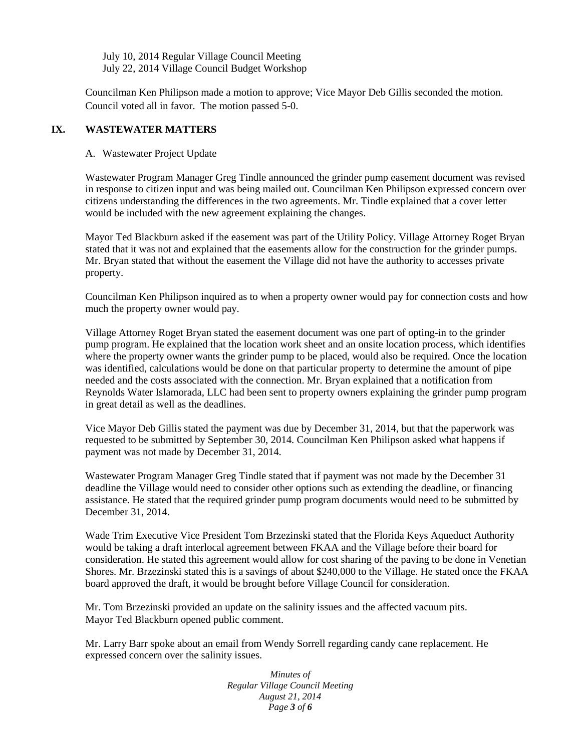July 10, 2014 Regular Village Council Meeting July 22, 2014 Village Council Budget Workshop

Councilman Ken Philipson made a motion to approve; Vice Mayor Deb Gillis seconded the motion. Council voted all in favor. The motion passed 5-0.

# **IX. WASTEWATER MATTERS**

A. Wastewater Project Update

Wastewater Program Manager Greg Tindle announced the grinder pump easement document was revised in response to citizen input and was being mailed out. Councilman Ken Philipson expressed concern over citizens understanding the differences in the two agreements. Mr. Tindle explained that a cover letter would be included with the new agreement explaining the changes.

Mayor Ted Blackburn asked if the easement was part of the Utility Policy. Village Attorney Roget Bryan stated that it was not and explained that the easements allow for the construction for the grinder pumps. Mr. Bryan stated that without the easement the Village did not have the authority to accesses private property.

Councilman Ken Philipson inquired as to when a property owner would pay for connection costs and how much the property owner would pay.

Village Attorney Roget Bryan stated the easement document was one part of opting-in to the grinder pump program. He explained that the location work sheet and an onsite location process, which identifies where the property owner wants the grinder pump to be placed, would also be required. Once the location was identified, calculations would be done on that particular property to determine the amount of pipe needed and the costs associated with the connection. Mr. Bryan explained that a notification from Reynolds Water Islamorada, LLC had been sent to property owners explaining the grinder pump program in great detail as well as the deadlines.

Vice Mayor Deb Gillis stated the payment was due by December 31, 2014, but that the paperwork was requested to be submitted by September 30, 2014. Councilman Ken Philipson asked what happens if payment was not made by December 31, 2014.

Wastewater Program Manager Greg Tindle stated that if payment was not made by the December 31 deadline the Village would need to consider other options such as extending the deadline, or financing assistance. He stated that the required grinder pump program documents would need to be submitted by December 31, 2014.

Wade Trim Executive Vice President Tom Brzezinski stated that the Florida Keys Aqueduct Authority would be taking a draft interlocal agreement between FKAA and the Village before their board for consideration. He stated this agreement would allow for cost sharing of the paving to be done in Venetian Shores. Mr. Brzezinski stated this is a savings of about \$240,000 to the Village. He stated once the FKAA board approved the draft, it would be brought before Village Council for consideration.

Mr. Tom Brzezinski provided an update on the salinity issues and the affected vacuum pits. Mayor Ted Blackburn opened public comment.

Mr. Larry Barr spoke about an email from Wendy Sorrell regarding candy cane replacement. He expressed concern over the salinity issues.

> *Minutes of Regular Village Council Meeting August 21, 2014 Page 3 of 6*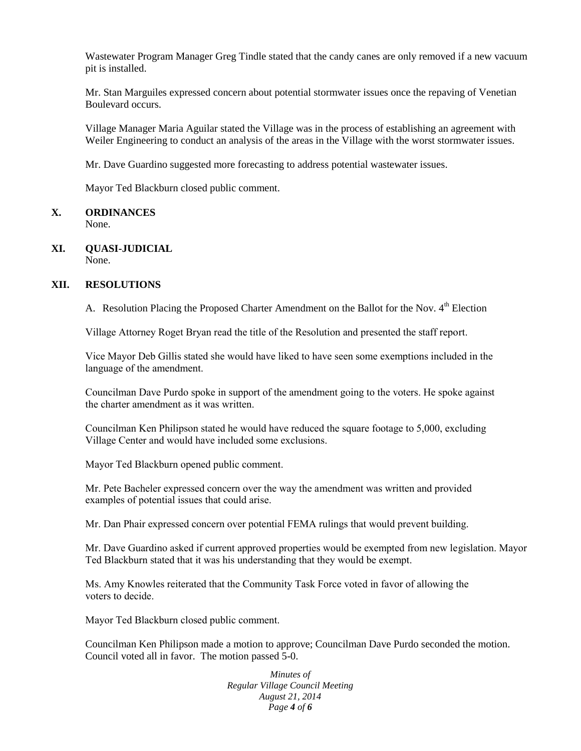Wastewater Program Manager Greg Tindle stated that the candy canes are only removed if a new vacuum pit is installed.

Mr. Stan Marguiles expressed concern about potential stormwater issues once the repaving of Venetian Boulevard occurs.

Village Manager Maria Aguilar stated the Village was in the process of establishing an agreement with Weiler Engineering to conduct an analysis of the areas in the Village with the worst stormwater issues.

Mr. Dave Guardino suggested more forecasting to address potential wastewater issues.

Mayor Ted Blackburn closed public comment.

# **X. ORDINANCES**

None.

#### **XI. QUASI-JUDICIAL** None.

# **XII. RESOLUTIONS**

A. Resolution Placing the Proposed Charter Amendment on the Ballot for the Nov. 4<sup>th</sup> Election

Village Attorney Roget Bryan read the title of the Resolution and presented the staff report.

Vice Mayor Deb Gillis stated she would have liked to have seen some exemptions included in the language of the amendment.

Councilman Dave Purdo spoke in support of the amendment going to the voters. He spoke against the charter amendment as it was written.

Councilman Ken Philipson stated he would have reduced the square footage to 5,000, excluding Village Center and would have included some exclusions.

Mayor Ted Blackburn opened public comment.

Mr. Pete Bacheler expressed concern over the way the amendment was written and provided examples of potential issues that could arise.

Mr. Dan Phair expressed concern over potential FEMA rulings that would prevent building.

Mr. Dave Guardino asked if current approved properties would be exempted from new legislation. Mayor Ted Blackburn stated that it was his understanding that they would be exempt.

Ms. Amy Knowles reiterated that the Community Task Force voted in favor of allowing the voters to decide.

Mayor Ted Blackburn closed public comment.

Councilman Ken Philipson made a motion to approve; Councilman Dave Purdo seconded the motion. Council voted all in favor. The motion passed 5-0.

> *Minutes of Regular Village Council Meeting August 21, 2014 Page 4 of 6*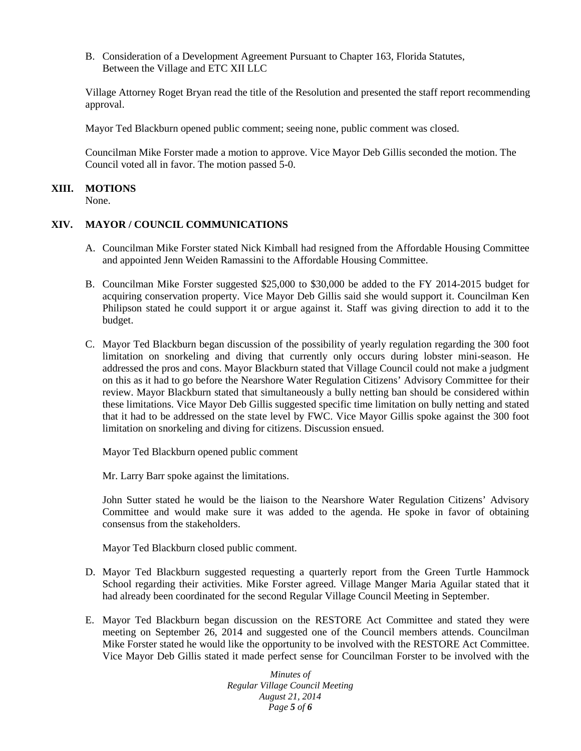B. Consideration of a Development Agreement Pursuant to Chapter 163, Florida Statutes, Between the Village and ETC XII LLC

Village Attorney Roget Bryan read the title of the Resolution and presented the staff report recommending approval.

Mayor Ted Blackburn opened public comment; seeing none, public comment was closed.

Councilman Mike Forster made a motion to approve. Vice Mayor Deb Gillis seconded the motion. The Council voted all in favor. The motion passed 5-0.

#### **XIII. MOTIONS**

None.

# **XIV. MAYOR / COUNCIL COMMUNICATIONS**

- A. Councilman Mike Forster stated Nick Kimball had resigned from the Affordable Housing Committee and appointed Jenn Weiden Ramassini to the Affordable Housing Committee.
- B. Councilman Mike Forster suggested \$25,000 to \$30,000 be added to the FY 2014-2015 budget for acquiring conservation property. Vice Mayor Deb Gillis said she would support it. Councilman Ken Philipson stated he could support it or argue against it. Staff was giving direction to add it to the budget.
- C. Mayor Ted Blackburn began discussion of the possibility of yearly regulation regarding the 300 foot limitation on snorkeling and diving that currently only occurs during lobster mini-season. He addressed the pros and cons. Mayor Blackburn stated that Village Council could not make a judgment on this as it had to go before the Nearshore Water Regulation Citizens' Advisory Committee for their review. Mayor Blackburn stated that simultaneously a bully netting ban should be considered within these limitations. Vice Mayor Deb Gillis suggested specific time limitation on bully netting and stated that it had to be addressed on the state level by FWC. Vice Mayor Gillis spoke against the 300 foot limitation on snorkeling and diving for citizens. Discussion ensued.

Mayor Ted Blackburn opened public comment

Mr. Larry Barr spoke against the limitations.

John Sutter stated he would be the liaison to the Nearshore Water Regulation Citizens' Advisory Committee and would make sure it was added to the agenda. He spoke in favor of obtaining consensus from the stakeholders.

Mayor Ted Blackburn closed public comment.

- D. Mayor Ted Blackburn suggested requesting a quarterly report from the Green Turtle Hammock School regarding their activities. Mike Forster agreed. Village Manger Maria Aguilar stated that it had already been coordinated for the second Regular Village Council Meeting in September.
- E. Mayor Ted Blackburn began discussion on the RESTORE Act Committee and stated they were meeting on September 26, 2014 and suggested one of the Council members attends. Councilman Mike Forster stated he would like the opportunity to be involved with the RESTORE Act Committee. Vice Mayor Deb Gillis stated it made perfect sense for Councilman Forster to be involved with the

*Minutes of Regular Village Council Meeting August 21, 2014 Page 5 of 6*